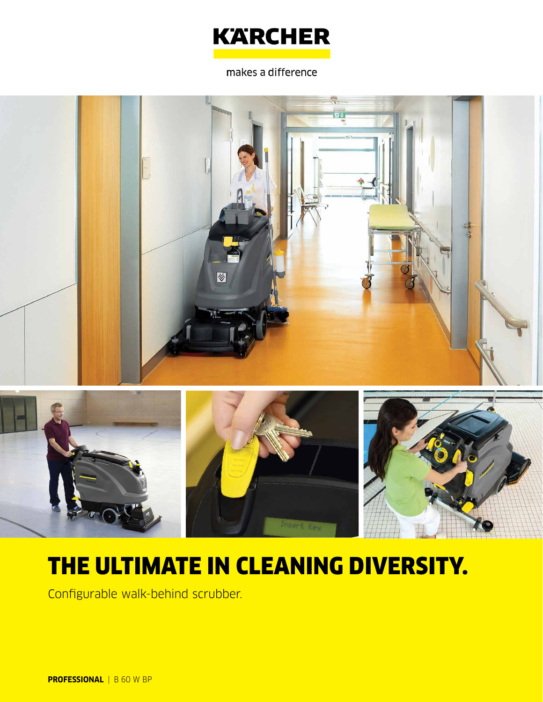

makes a difference



# THE ULTIMATE IN CLEANING DIVERSITY.

Configurable walk-behind scrubber.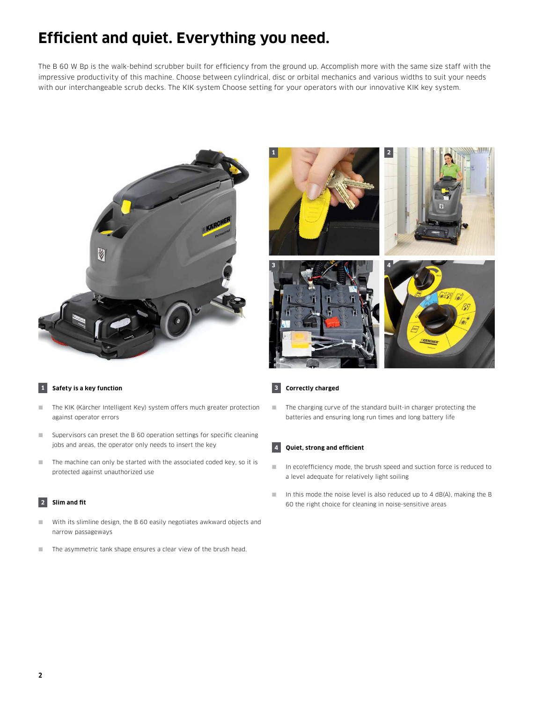### **Efficient and quiet. Everything you need.**

The B 60 W Bp is the walk-behind scrubber built for efficiency from the ground up. Accomplish more with the same size staff with the impressive productivity of this machine. Choose between cylindrical, disc or orbital mechanics and various widths to suit your needs with our interchangeable scrub decks. The KIK system Choose setting for your operators with our innovative KIK key system.





#### **1 Safety is a key function**

- The KIK (Kärcher Intelligent Key) system offers much greater protection against operator errors
- Supervisors can preset the B 60 operation settings for specific cleaning jobs and areas, the operator only needs to insert the key
- The machine can only be started with the associated coded key, so it is protected against unauthorized use

#### **2 Slim and fit**

- With its slimline design, the B 60 easily negotiates awkward objects and narrow passageways
- The asymmetric tank shape ensures a clear view of the brush head.

#### **3 Correctly charged**

■ The charging curve of the standard built-in charger protecting the batteries and ensuring long run times and long battery life

#### **4 Quiet, strong and efficient**

- In eco!efficiency mode, the brush speed and suction force is reduced to a level adequate for relatively light soiling
- $\blacksquare$  In this mode the noise level is also reduced up to 4 dB(A), making the B 60 the right choice for cleaning in noise-sensitive areas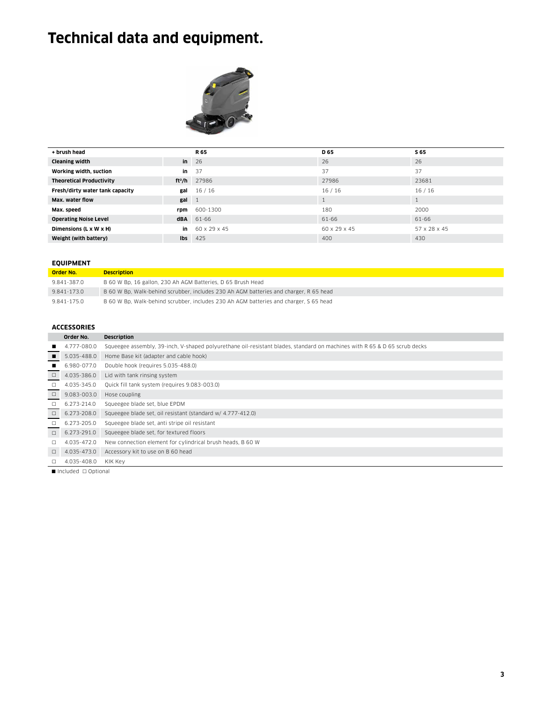## **Technical data and equipment.**



| + brush head                    |            | R 65           | D <sub>65</sub> | S 65         |
|---------------------------------|------------|----------------|-----------------|--------------|
| <b>Cleaning width</b>           | in         | 26             | 26              | 26           |
| Working width, suction          | in         | 37             | 37              | 37           |
| <b>Theoretical Productivity</b> |            | $ft^2/h$ 27986 | 27986           | 23681        |
| Fresh/dirty water tank capacity | gal        | 16/16          | 16/16           | 16/16        |
| Max. water flow                 | gal        | $\overline{1}$ |                 | Ι.           |
| Max. speed                      | rpm        | 600-1300       | 180             | 2000         |
| <b>Operating Noise Level</b>    | <b>dBA</b> | 61-66          | 61-66           | 61-66        |
| Dimensions (L x W x H)          | in         | 60 x 29 x 45   | 60 x 29 x 45    | 57 x 28 x 45 |
| Weight (with battery)           | lbs        | 425            | 400             | 430          |

#### **EQUIPMENT**

| Order No.   | <b>Description</b>                                                                    |
|-------------|---------------------------------------------------------------------------------------|
| 9.841-387.0 | B 60 W Bp. 16 gallon, 230 Ah AGM Batteries, D 65 Brush Head                           |
| 9.841-173.0 | B 60 W Bp. Walk-behind scrubber, includes 230 Ah AGM batteries and charger, R 65 head |
| 9.841-175.0 | B 60 W Bp. Walk-behind scrubber, includes 230 Ah AGM batteries and charger, S 65 head |

#### **ACCESSORIES**

|                | Order No.   | <b>Description</b>                                                                                                        |
|----------------|-------------|---------------------------------------------------------------------------------------------------------------------------|
|                | 4.777-080.0 | Squeegee assembly, 39-inch, V-shaped polyurethane oil-resistant blades, standard on machines with R 65 & D 65 scrub decks |
| $\blacksquare$ | 5.035-488.0 | Home Base kit (adapter and cable hook)                                                                                    |
|                | 6.980-077.0 | Double hook (requires 5.035-488.0)                                                                                        |
| $\Box$         | 4.035-386.0 | Lid with tank rinsing system                                                                                              |
| $\Box$         | 4.035-345.0 | Quick fill tank system (requires 9.083-003.0)                                                                             |
| $\Box$         | 9.083-003.0 | Hose coupling                                                                                                             |
| $\Box$         | 6.273-214.0 | Squeegee blade set, blue EPDM                                                                                             |
| $\Box$         | 6.273-208.0 | Squeegee blade set, oil resistant (standard w/ 4.777-412.0)                                                               |
| $\Box$         | 6.273-205.0 | Squeegee blade set, anti stripe oil resistant                                                                             |
| $\Box$         | 6.273-291.0 | Squeegee blade set, for textured floors                                                                                   |
| □              | 4.035-472.0 | New connection element for cylindrical brush heads, B 60 W                                                                |
| $\Box$         | 4.035-473.0 | Accessory kit to use on B 60 head                                                                                         |
| п.             | 4.035-408.0 | KIK Key                                                                                                                   |

 $\blacksquare$ Included  $\Box$  Optional